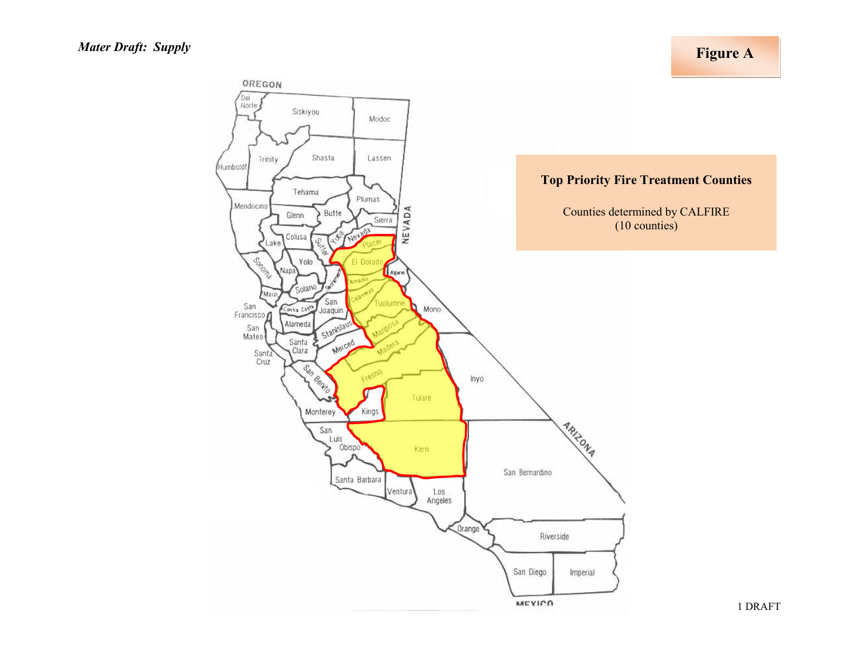**Figure A**

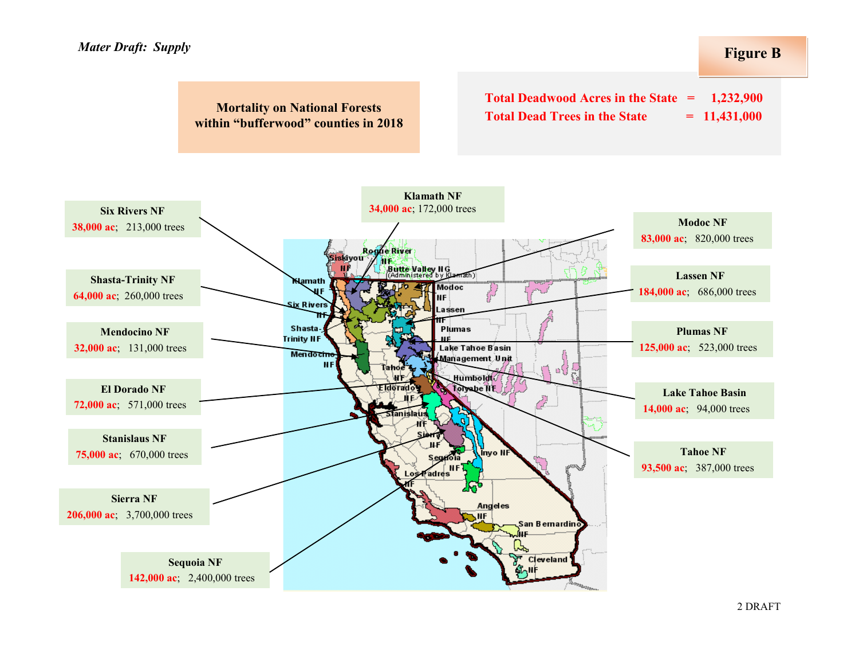#### **Figure B**

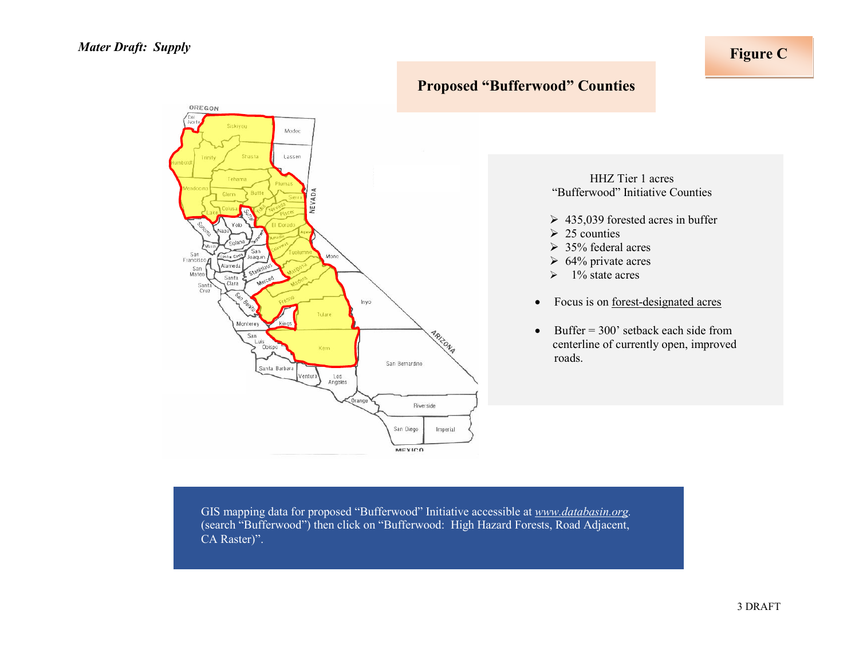

# **Proposed "Bufferwood" Counties**

HHZ Tier 1 acres "Bufferwood" Initiative Counties

- $\geq 435,039$  forested acres in buffer
- $\geq 25$  counties
- $\geq 35\%$  federal acres
- $\geq 64\%$  private acres
- $\geq 1\%$  state acres
- Focus is on <u>forest-designated acres</u>
- Buffer  $=$  300' setback each side from centerline of currently open, improved roads.

GIS mapping data for proposed "Bufferwood" Initiative accessible at *[www.databasin.org.](http://www.databasin.org/)* (search "Bufferwood") then click on "Bufferwood: High Hazard Forests, Road Adjacent, CA Raster)".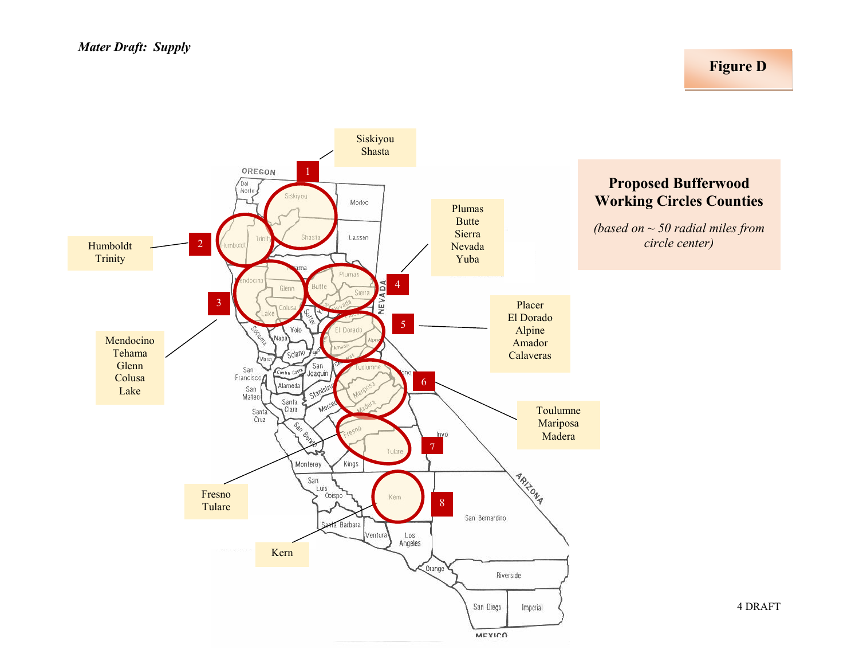## **Figure D**

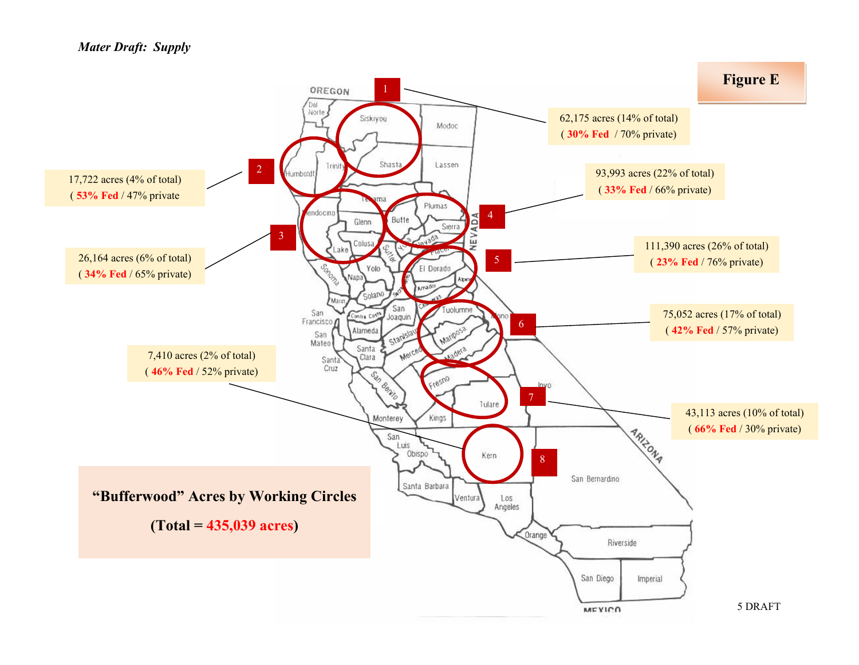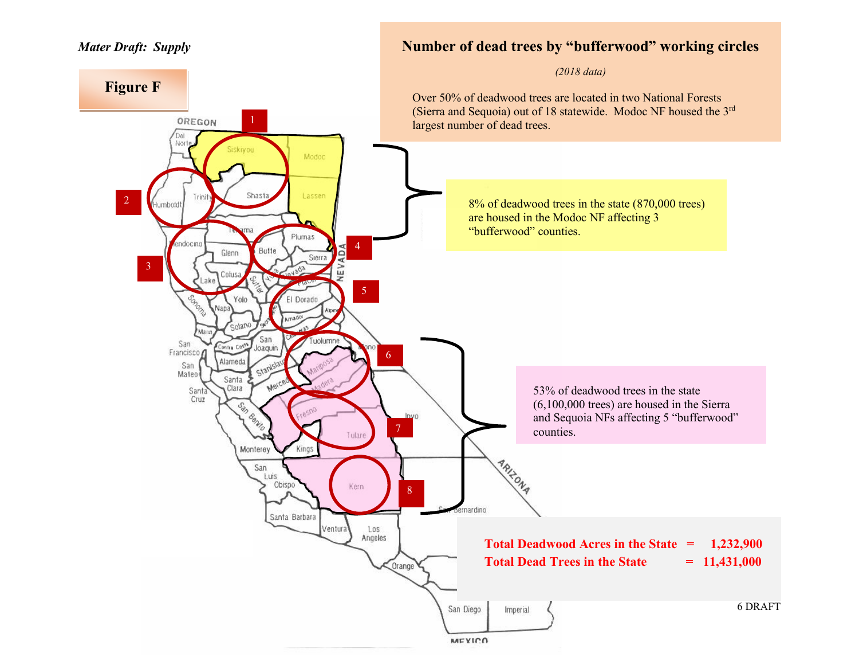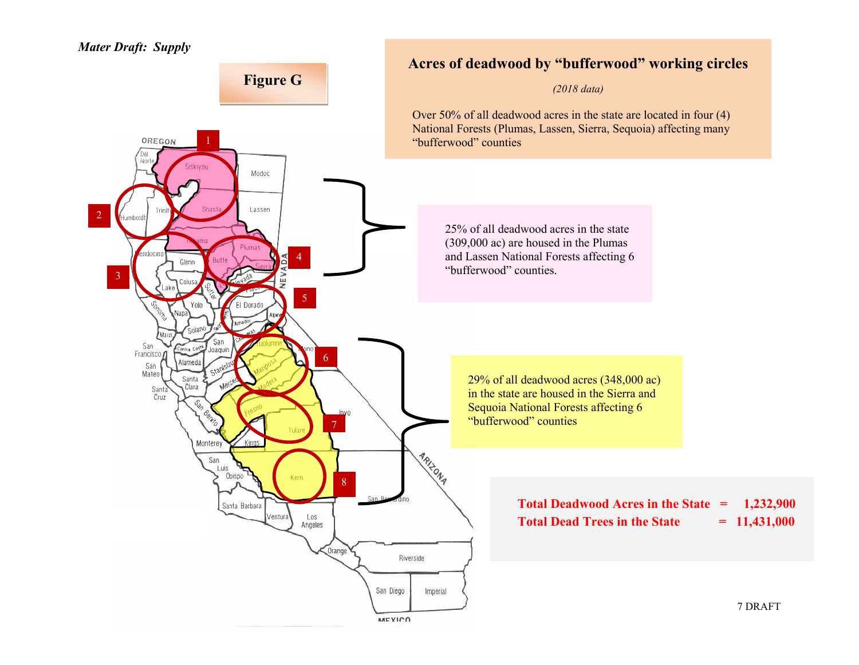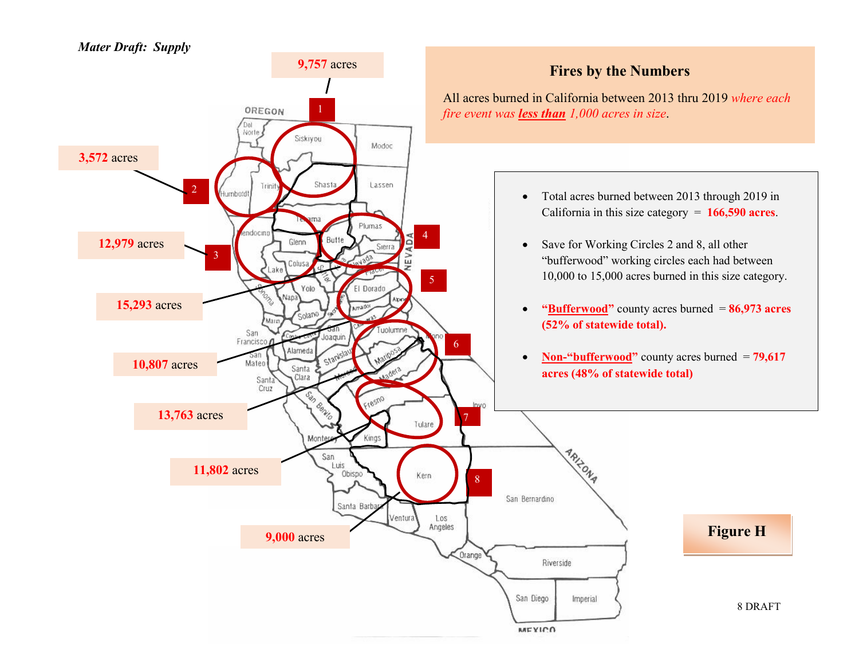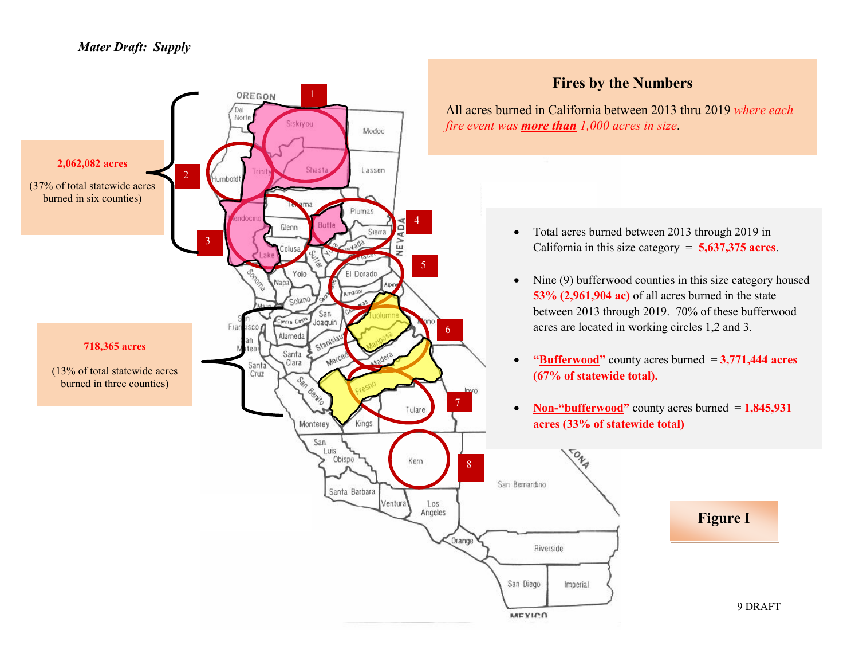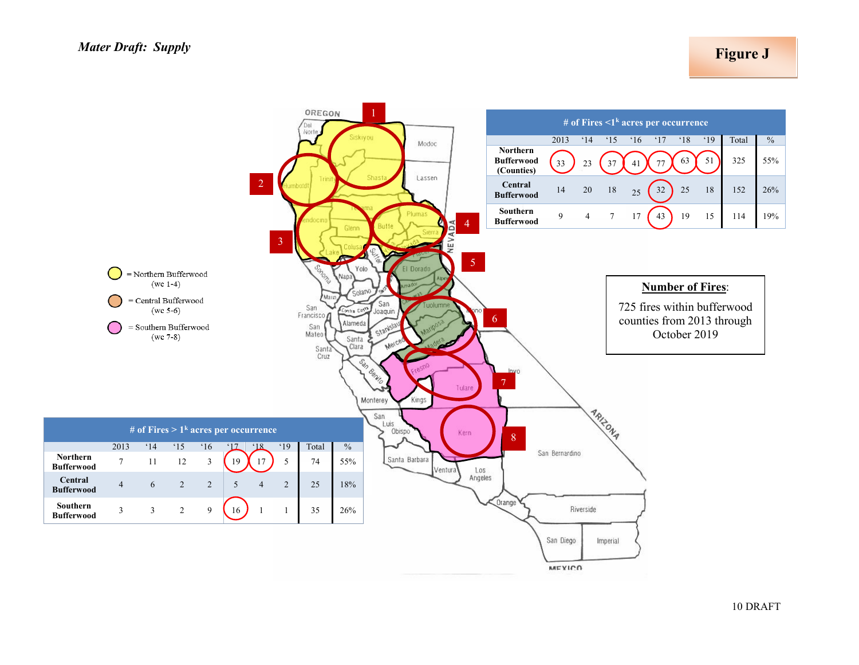**Figure J**

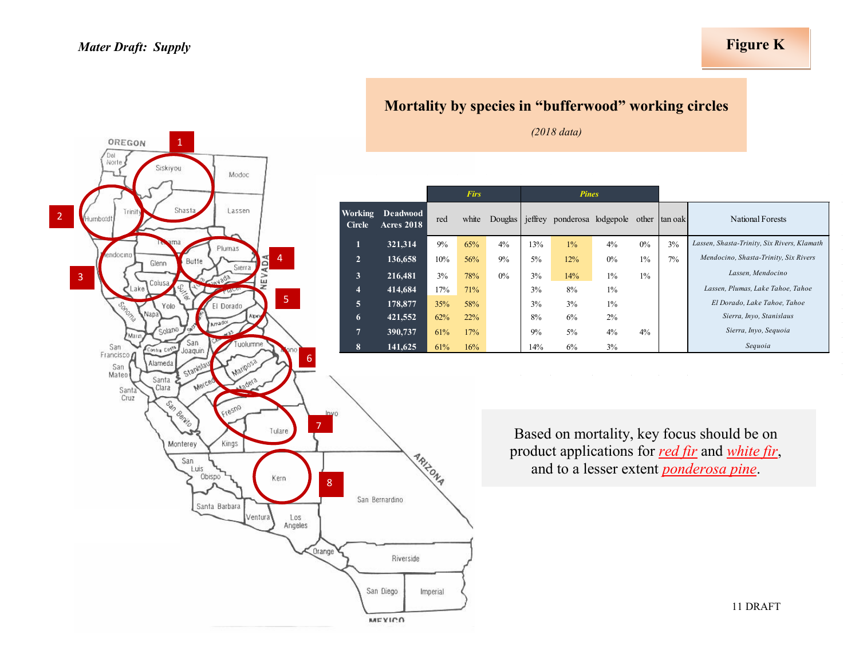OREGON

Norte

2

1

### **Figure K**



Based on mortality, key focus should be on product applications for *red fir* and *white fir*, and to a lesser extent *ponderosa pine*.



11 DRAFT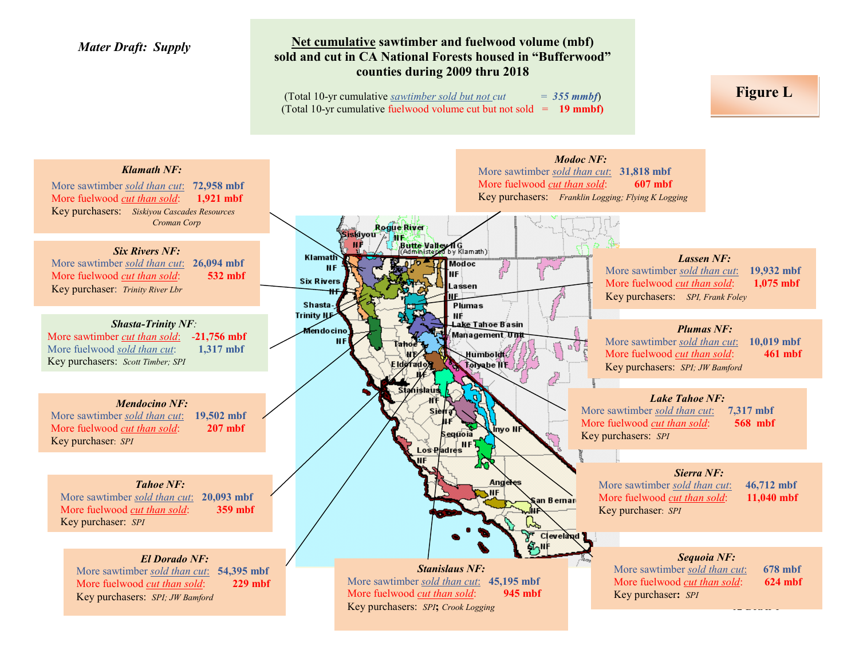#### **Net cumulative sawtimber and fuelwood volume (mbf) sold and cut in CA National Forests housed in "Bufferwood" counties during 2009 thru 2018**

(Total 10-yr cumulative *sawtimber sold but not cut* =  $355$  *mmbf*) (Total 10-yr cumulative fuelwood volume cut but not sold = **19 mmbf)** **Figure L**

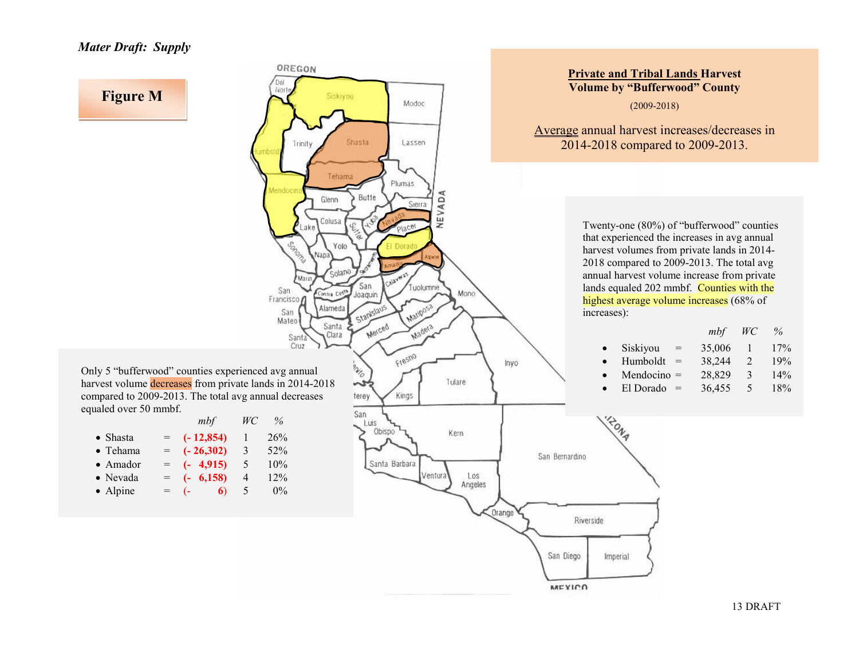

13 DRAFT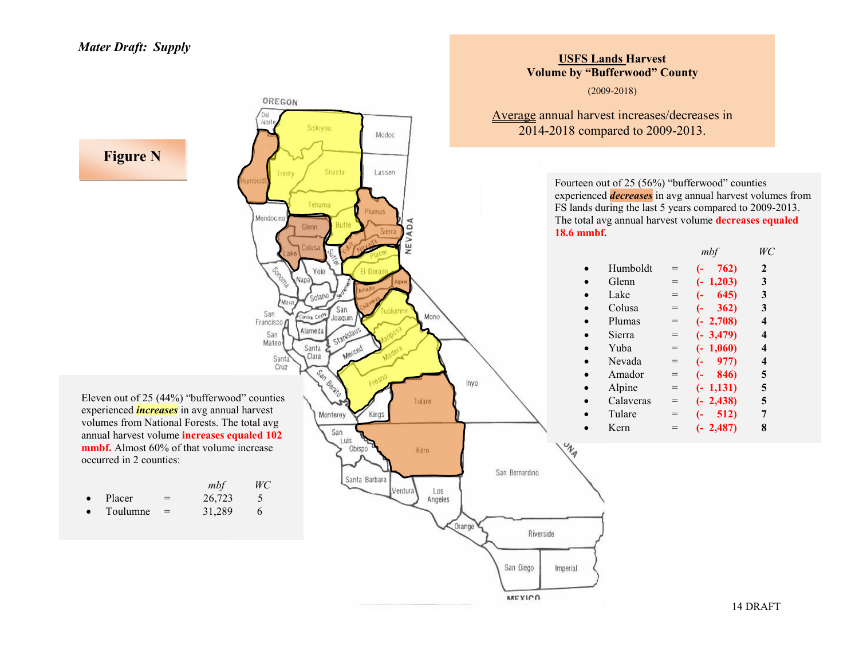

**USFS Lands Harvest**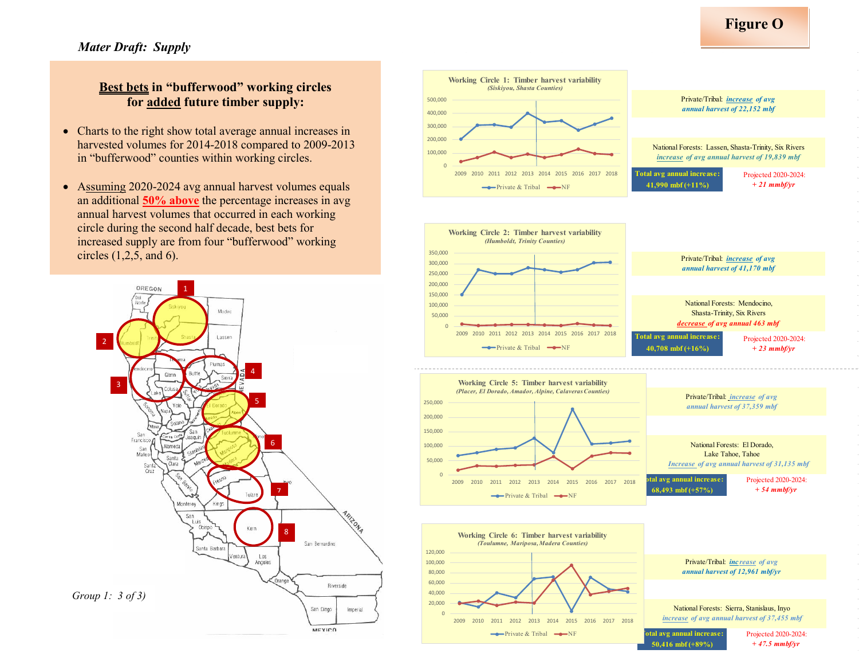#### **Best bets in "bufferwood" working circles for added future timber supply:**

- Charts to the right show total average annual increases in harvested volumes for 2014-2018 compared to 2009-2013 in "bufferwood" counties within working circles.
- Assuming 2020-2024 avg annual harvest volumes equals an additional **50% above** the percentage increases in avg annual harvest volumes that occurred in each working circle during the second half decade, best bets for increased supply are from four "bufferwood" working circles (1,2,5, and 6).



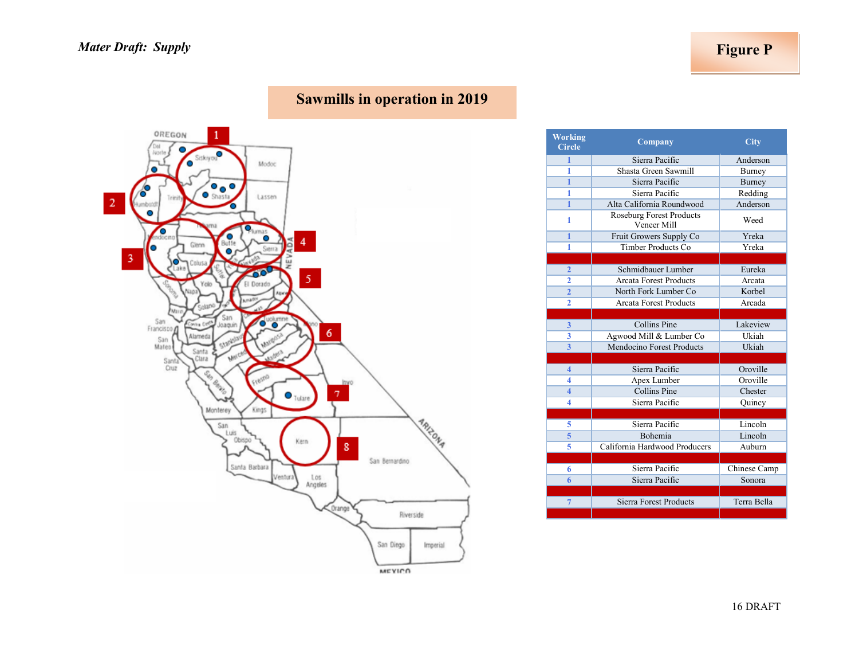# **Sawmills in operation in 2019**



| <b>Working</b><br><b>Circle</b> | Company                                        | <b>City</b>  |
|---------------------------------|------------------------------------------------|--------------|
| 1                               | Sierra Pacific                                 | Anderson     |
| 1                               | Shasta Green Sawmill                           | Burney       |
| 1                               | Sierra Pacific                                 | Burney       |
| 1                               | Sierra Pacific                                 | Redding      |
| 1                               | Alta California Roundwood                      | Anderson     |
| 1                               | <b>Roseburg Forest Products</b><br>Veneer Mill | Weed         |
| 1                               | Fruit Growers Supply Co                        | Yreka        |
| 1                               | Timber Products Co                             | Yreka        |
|                                 |                                                |              |
| 2                               | Schmidbauer Lumber                             | Eureka       |
| 2                               | <b>Arcata Forest Products</b>                  | Arcata       |
| $\overline{2}$                  | North Fork Lumber Co                           | Korbel       |
| $\overline{2}$                  | <b>Arcata Forest Products</b>                  | Arcada       |
|                                 |                                                |              |
| 3                               | Collins Pine                                   | Lakeview     |
| 3                               | Agwood Mill & Lumber Co                        | Ukiah        |
| 3                               | Mendocino Forest Products                      | Ukiah        |
|                                 |                                                |              |
| 4                               | Sierra Pacific                                 | Oroville     |
| 4                               | Apex Lumber                                    | Oroville     |
| 4                               | Collins Pine                                   | Chester      |
| 4                               | Sierra Pacific                                 | Quincy       |
|                                 |                                                |              |
| 5                               | Sierra Pacific                                 | Lincoln      |
| 5                               | <b>Bohemia</b>                                 | Lincoln      |
| 5                               | California Hardwood Producers                  | Auburn       |
|                                 |                                                |              |
| 6                               | Sierra Pacific                                 | Chinese Camp |
| 6                               | Sierra Pacific                                 | Sonora       |
|                                 |                                                |              |
| $\overline{7}$                  | <b>Sierra Forest Products</b>                  | Terra Bella  |
|                                 |                                                |              |